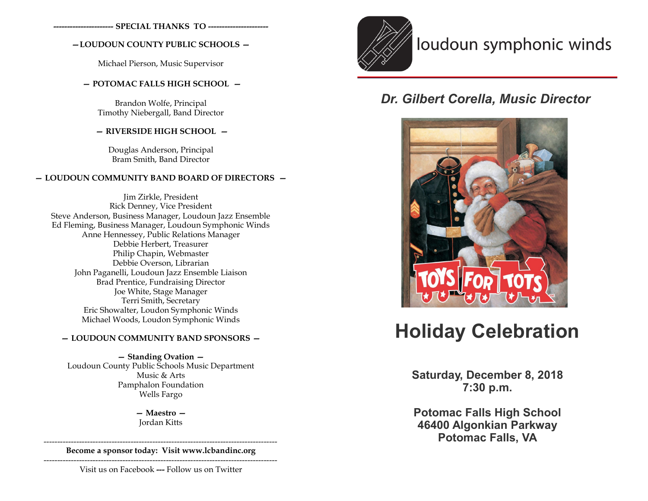**---------------------- SPECIAL THANKS TO ----------------------**

# **—LOUDOUN COUNTY PUBLIC SCHOOLS —**

Michael Pierson, Music Supervisor

# **— POTOMAC FALLS HIGH SCHOOL —**

Brandon Wolfe, Principal Timothy Niebergall, Band Director

# **— RIVERSIDE HIGH SCHOOL —**

Douglas Anderson, Principal Bram Smith, Band Director

# **— LOUDOUN COMMUNITY BAND BOARD OF DIRECTORS —**

Jim Zirkle, President Rick Denney, Vice President Steve Anderson, Business Manager, Loudoun Jazz Ensemble Ed Fleming, Business Manager, Loudoun Symphonic Winds Anne Hennessey, Public Relations Manager Debbie Herbert, Treasurer Philip Chapin, Webmaster Debbie Overson, Librarian John Paganelli, Loudoun Jazz Ensemble Liaison Brad Prentice, Fundraising Director Joe White, Stage Manager Terri Smith, Secretary Eric Showalter, Loudon Symphonic Winds Michael Woods, Loudon Symphonic Winds

# **— LOUDOUN COMMUNITY BAND SPONSORS —**

**— Standing Ovation —**  Loudoun County Public Schools Music Department Music & Arts Pamphalon Foundation Wells Fargo

> **— Maestro —** Jordan Kitts

-------------------------------------------------------------------------------------- **Become a sponsor today: Visit www.lcbandinc.org**

--------------------------------------------------------------------------------------

Visit us on Facebook **---** Follow us on Twitter



# loudoun symphonic winds

# *Dr. Gilbert Corella, Music Director*



# **Holiday Celebration**

**Saturday, December 8, 2018 7:30 p.m.**

**Potomac Falls High School 46400 Algonkian Parkway Potomac Falls, VA**